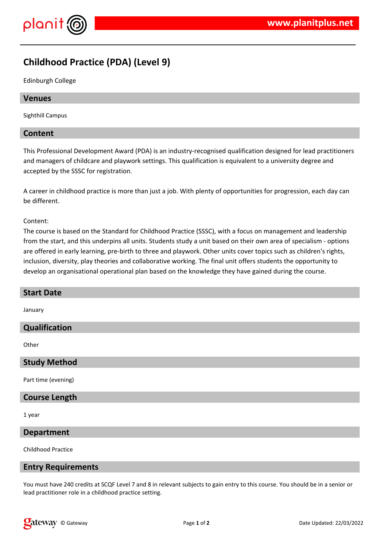

# **Childhood Practice (PDA) (Level 9)**

Edinburgh College

## **Venues**

Sighthill Campus

## **Content**

This Professional Development Award (PDA) is an industry-recognised qualification designed for lead practitioners and managers of childcare and playwork settings. This qualification is equivalent to a university degree and accepted by the SSSC for registration.

A career in childhood practice is more than just a job. With plenty of opportunities for progression, each day can be different.

#### Content:

The course is based on the Standard for Childhood Practice (SSSC), with a focus on management and leadership from the start, and this underpins all units. Students study a unit based on their own area of specialism - options are offered in early learning, pre-birth to three and playwork. Other units cover topics such as children's rights, inclusion, diversity, play theories and collaborative working. The final unit offers students the opportunity to develop an organisational operational plan based on the knowledge they have gained during the course.

| <b>Start Date</b> |  |
|-------------------|--|
|                   |  |
| January           |  |
| Qualification     |  |
|                   |  |
| Other             |  |

**Study Method**

Part time (evening)

#### **Course Length**

1 year

## **Department**

Childhood Practice

#### **Entry Requirements**

You must have 240 credits at SCQF Level 7 and 8 in relevant subjects to gain entry to this course. You should be in a senior or lead practitioner role in a childhood practice setting.